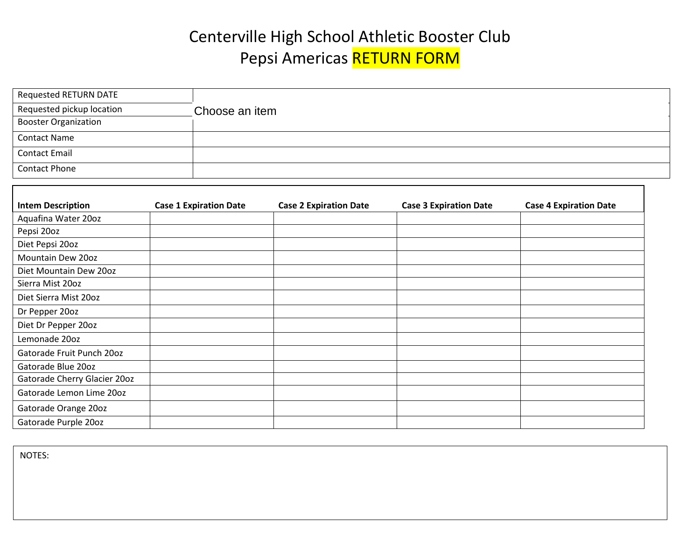## Centerville High School Athletic Booster Club Pepsi Americas RETURN FORM

| Requested RETURN DATE       |                |  |
|-----------------------------|----------------|--|
| Requested pickup location   | Choose an item |  |
| <b>Booster Organization</b> |                |  |
| <b>Contact Name</b>         |                |  |
| <b>Contact Email</b>        |                |  |
| <b>Contact Phone</b>        |                |  |

| <b>Intem Description</b>     | <b>Case 1 Expiration Date</b> | <b>Case 2 Expiration Date</b> | <b>Case 3 Expiration Date</b> | <b>Case 4 Expiration Date</b> |
|------------------------------|-------------------------------|-------------------------------|-------------------------------|-------------------------------|
| Aquafina Water 20oz          |                               |                               |                               |                               |
| Pepsi 20oz                   |                               |                               |                               |                               |
| Diet Pepsi 20oz              |                               |                               |                               |                               |
| Mountain Dew 20oz            |                               |                               |                               |                               |
| Diet Mountain Dew 20oz       |                               |                               |                               |                               |
| Sierra Mist 20oz             |                               |                               |                               |                               |
| Diet Sierra Mist 20oz        |                               |                               |                               |                               |
| Dr Pepper 20oz               |                               |                               |                               |                               |
| Diet Dr Pepper 20oz          |                               |                               |                               |                               |
| Lemonade 20oz                |                               |                               |                               |                               |
| Gatorade Fruit Punch 20oz    |                               |                               |                               |                               |
| Gatorade Blue 20oz           |                               |                               |                               |                               |
| Gatorade Cherry Glacier 200z |                               |                               |                               |                               |
| Gatorade Lemon Lime 200z     |                               |                               |                               |                               |
| Gatorade Orange 20oz         |                               |                               |                               |                               |
| Gatorade Purple 20oz         |                               |                               |                               |                               |

NOTES: